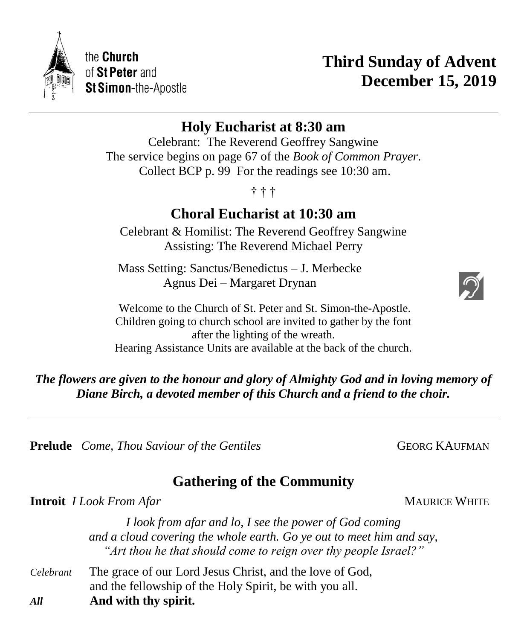

# **Third Sunday of Advent December 15, 2019**

# **Holy Eucharist at 8:30 am**

Celebrant: The Reverend Geoffrey Sangwine The service begins on page 67 of the *Book of Common Prayer*. Collect BCP p. 99 For the readings see 10:30 am.

† † †

# **Choral Eucharist at 10:30 am**

Celebrant & Homilist: The Reverend Geoffrey Sangwine Assisting: The Reverend Michael Perry

Mass Setting: Sanctus/Benedictus – J. Merbecke Agnus Dei – Margaret Drynan

Welcome to the Church of St. Peter and St. Simon-the-Apostle. Children going to church school are invited to gather by the font after the lighting of the wreath. Hearing Assistance Units are available at the back of the church.

*The flowers are given to the honour and glory of Almighty God and in loving memory of Diane Birch, a devoted member of this Church and a friend to the choir.*

**Prelude** *Come, Thou Saviour of the Gentiles* **GEORG KAUFMAN** 

# **Gathering of the Community**

**Introit** *I Look From Afar* **MAURICE WHITE** 

*I look from afar and lo, I see the power of God coming and a cloud covering the whole earth. Go ye out to meet him and say, "Art thou he that should come to reign over thy people Israel?"*

*Celebrant* The grace of our Lord Jesus Christ, and the love of God, and the fellowship of the Holy Spirit, be with you all. *All* **And with thy spirit.**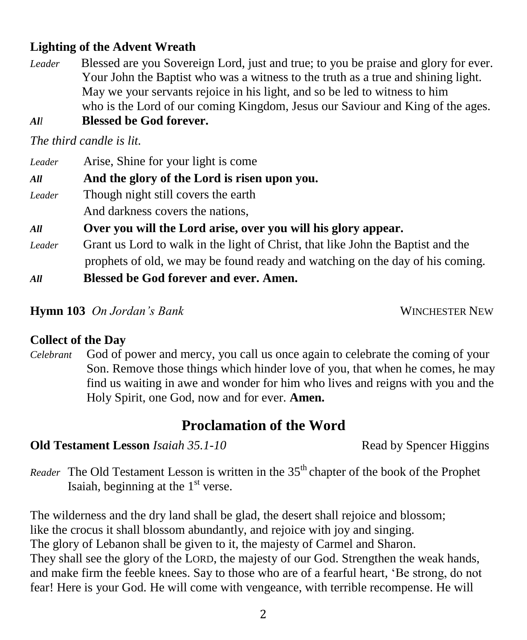# **Lighting of the Advent Wreath**

*Leader* Blessed are you Sovereign Lord, just and true; to you be praise and glory for ever. Your John the Baptist who was a witness to the truth as a true and shining light. May we your servants rejoice in his light, and so be led to witness to him who is the Lord of our coming Kingdom, Jesus our Saviour and King of the ages. *All* **Blessed be God forever.**

*The third candle is lit.*

| Leader<br>All | Arise, Shine for your light is come<br>And the glory of the Lord is risen upon you.                                                                               |  |
|---------------|-------------------------------------------------------------------------------------------------------------------------------------------------------------------|--|
| Leader        | Though night still covers the earth                                                                                                                               |  |
|               | And darkness covers the nations,                                                                                                                                  |  |
| All           | Over you will the Lord arise, over you will his glory appear.                                                                                                     |  |
| Leader        | Grant us Lord to walk in the light of Christ, that like John the Baptist and the<br>prophets of old, we may be found ready and watching on the day of his coming. |  |
| All           | <b>Blessed be God forever and ever. Amen.</b>                                                                                                                     |  |

#### **Hymn 103** On Jordan's Bank **WINCHESTER NEW**

#### **Collect of the Day**

*Celebrant* God of power and mercy, you call us once again to celebrate the coming of your Son. Remove those things which hinder love of you, that when he comes, he may find us waiting in awe and wonder for him who lives and reigns with you and the Holy Spirit, one God, now and for ever. **Amen.**

# **Proclamation of the Word**

## **Old Testament Lesson** *Isaiah 35.1-10* Read by Spencer Higgins

*Reader* The Old Testament Lesson is written in the 35<sup>th</sup> chapter of the book of the Prophet Isaiah, beginning at the  $1<sup>st</sup>$  verse.

The wilderness and the dry land shall be glad, the desert shall rejoice and blossom; like the crocus it shall blossom abundantly, and rejoice with joy and singing. The glory of Lebanon shall be given to it, the majesty of Carmel and Sharon. They shall see the glory of the LORD, the majesty of our God. Strengthen the weak hands, and make firm the feeble knees. Say to those who are of a fearful heart, 'Be strong, do not fear! Here is your God. He will come with vengeance, with terrible recompense. He will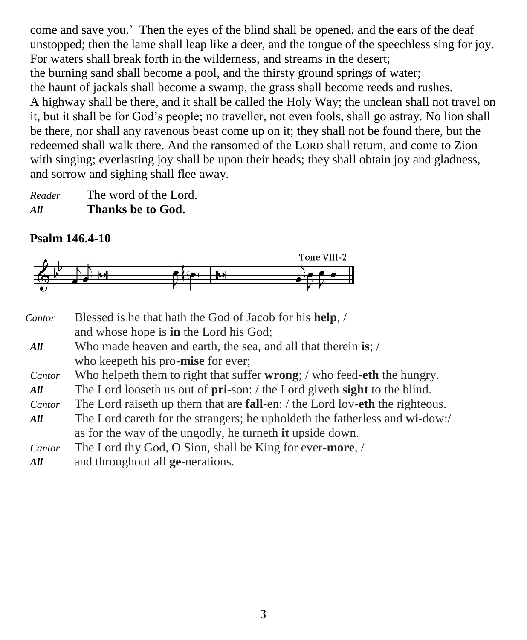come and save you.' Then the eyes of the blind shall be opened, and the ears of the deaf unstopped; then the lame shall leap like a deer, and the tongue of the speechless sing for joy. For waters shall break forth in the wilderness, and streams in the desert; the burning sand shall become a pool, and the thirsty ground springs of water; the haunt of jackals shall become a swamp, the grass shall become reeds and rushes. A highway shall be there, and it shall be called the Holy Way; the unclean shall not travel on it, but it shall be for God's people; no traveller, not even fools, shall go astray. No lion shall be there, nor shall any ravenous beast come up on it; they shall not be found there, but the redeemed shall walk there. And the ransomed of the LORD shall return, and come to Zion with singing; everlasting joy shall be upon their heads; they shall obtain joy and gladness, and sorrow and sighing shall flee away.

*Reader* The word of the Lord. *All* **Thanks be to God.**

# **Psalm 146.4-10**



| Cantor | Blessed is he that hath the God of Jacob for his help, /                                     |  |
|--------|----------------------------------------------------------------------------------------------|--|
|        | and whose hope is <b>in</b> the Lord his God;                                                |  |
| All    | Who made heaven and earth, the sea, and all that therein is; /                               |  |
|        | who keepeth his pro-mise for ever;                                                           |  |
| Cantor | Who helpeth them to right that suffer <b>wrong</b> ; / who feed- <b>eth</b> the hungry.      |  |
| All    | The Lord looseth us out of <b>pri</b> -son: / the Lord giveth <b>sight</b> to the blind.     |  |
| Cantor | The Lord raiseth up them that are <b>fall</b> -en: / the Lord lov- <b>eth</b> the righteous. |  |
| All    | The Lord care th for the strangers; he upholder the fatherless and wi-dow:/                  |  |
|        | as for the way of the ungodly, he turneth it upside down.                                    |  |
| Cantor | The Lord thy God, O Sion, shall be King for ever-more, /                                     |  |
| 4 11 L | and throughout all go negations                                                              |  |

*All* and throughout all **ge**-nerations.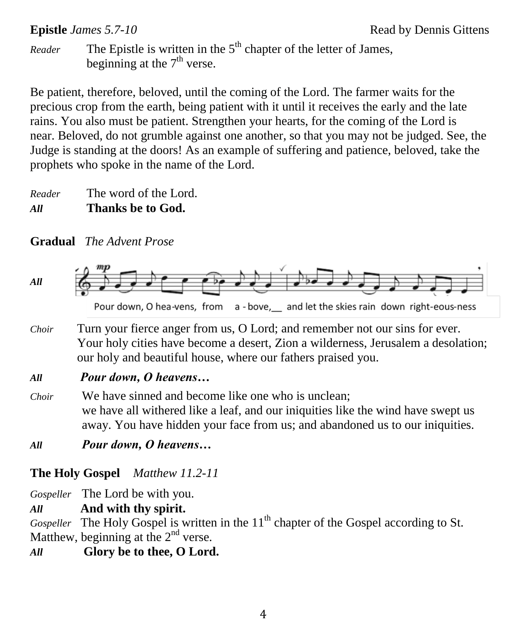*Reader* The Epistle is written in the 5<sup>th</sup> chapter of the letter of James, beginning at the  $7<sup>th</sup>$  verse.

Be patient, therefore, beloved, until the coming of the Lord. The farmer waits for the precious crop from the earth, being patient with it until it receives the early and the late rains. You also must be patient. Strengthen your hearts, for the coming of the Lord is near. Beloved, do not grumble against one another, so that you may not be judged. See, the Judge is standing at the doors! As an example of suffering and patience, beloved, take the prophets who spoke in the name of the Lord.

*Reader* The word of the Lord. *All* **Thanks be to God.**

# **Gradual** *The Advent Prose*



Pour down, O hea-vens, from a - bove, and let the skies rain down right-eous-ness

*Choir* Turn your fierce anger from us, O Lord; and remember not our sins for ever. Your holy cities have become a desert, Zion a wilderness, Jerusalem a desolation; our holy and beautiful house, where our fathers praised you.

# *All Pour down, O heavens…*

- *Choir* We have sinned and become like one who is unclean; we have all withered like a leaf, and our iniquities like the wind have swept us away. You have hidden your face from us; and abandoned us to our iniquities.
- *All Pour down, O heavens…*

# **The Holy Gospel** *Matthew 11.2-11*

*Gospeller* The Lord be with you.

*All* **And with thy spirit.**

*Gospeller* The Holy Gospel is written in the 11<sup>th</sup> chapter of the Gospel according to St. Matthew, beginning at the  $2<sup>nd</sup>$  verse.

# *All* **Glory be to thee, O Lord.**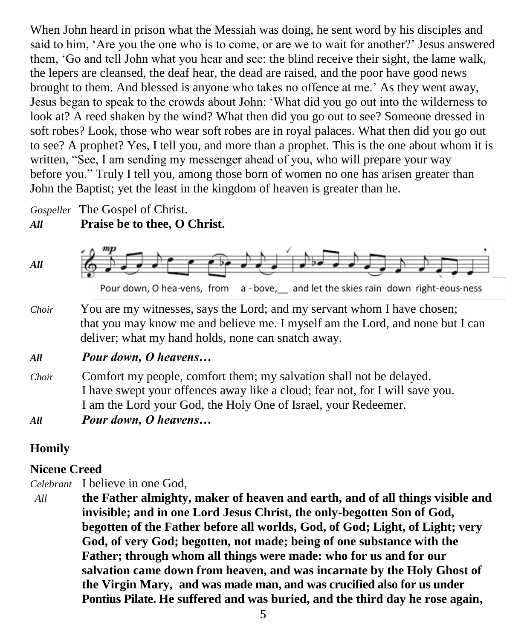When John heard in prison what the Messiah was doing, he sent word by his disciples and said to him, 'Are you the one who is to come, or are we to wait for another?' Jesus answered them, 'Go and tell John what you hear and see: the blind receive their sight, the lame walk, the lepers are cleansed, the deaf hear, the dead are raised, and the poor have good news brought to them. And blessed is anyone who takes no offence at me.' As they went away, Jesus began to speak to the crowds about John: 'What did you go out into the wilderness to look at? A reed shaken by the wind? What then did you go out to see? Someone dressed in soft robes? Look, those who wear soft robes are in royal palaces. What then did you go out to see? A prophet? Yes, I tell you, and more than a prophet. This is the one about whom it is written, "See, I am sending my messenger ahead of you, who will prepare your way before you." Truly I tell you, among those born of women no one has arisen greater than John the Baptist; yet the least in the kingdom of heaven is greater than he.

*Gospeller* The Gospel of Christ.

# *All* **Praise be to thee, O Christ.**



Pour down, O hea-vens, from a-bove, and let the skies rain down right-eous-ness

*Choir* You are my witnesses, says the Lord; and my servant whom I have chosen; that you may know me and believe me. I myself am the Lord, and none but I can deliver; what my hand holds, none can snatch away.

## *All Pour down, O heavens…*

- *Choir* Comfort my people, comfort them; my salvation shall not be delayed. I have swept your offences away like a cloud; fear not, for I will save you. I am the Lord your God, the Holy One of Israel, your Redeemer.
- *All Pour down, O heavens…*

# **Homily**

# **Nicene Creed**

*Celebrant* I believe in one God,

*All* **the Father almighty, maker of heaven and earth, and of all things visible and invisible; and in one Lord Jesus Christ, the only-begotten Son of God, begotten of the Father before all worlds, God, of God; Light, of Light; very God, of very God; begotten, not made; being of one substance with the Father; through whom all things were made: who for us and for our salvation came down from heaven, and was incarnate by the Holy Ghost of the Virgin Mary, and was made man, and was crucified also for us under Pontius Pilate. He suffered and was buried, and the third day he rose again,**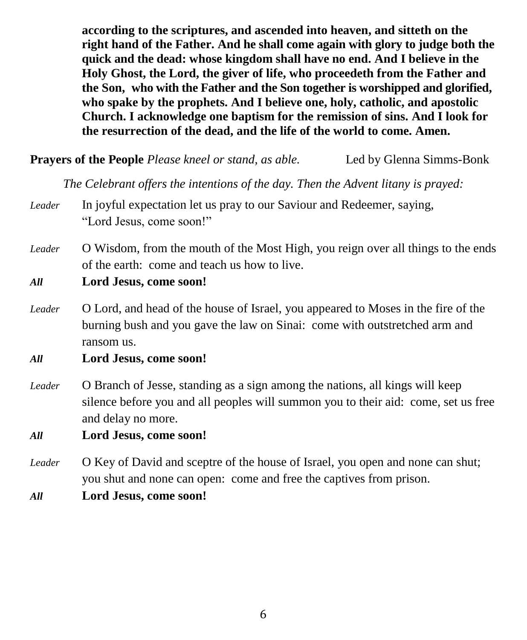**according to the scriptures, and ascended into heaven, and sitteth on the right hand of the Father. And he shall come again with glory to judge both the quick and the dead: whose kingdom shall have no end. And I believe in the Holy Ghost, the Lord, the giver of life, who proceedeth from the Father and the Son, who with the Father and the Son together is worshipped and glorified, who spake by the prophets. And I believe one, holy, catholic, and apostolic Church. I acknowledge one baptism for the remission of sins. And I look for the resurrection of the dead, and the life of the world to come. Amen.**

**Prayers of the People** *Please kneel or stand, as able.* Led by Glenna Simms-Bonk

*The Celebrant offers the intentions of the day. Then the Advent litany is prayed:*

- *Leader* In joyful expectation let us pray to our Saviour and Redeemer, saying, "Lord Jesus, come soon!"
- *Leader* O Wisdom, from the mouth of the Most High, you reign over all things to the ends of the earth: come and teach us how to live.
- *All* **Lord Jesus, come soon!**
- *Leader* O Lord, and head of the house of Israel, you appeared to Moses in the fire of the burning bush and you gave the law on Sinai: come with outstretched arm and ransom us.
- *All* **Lord Jesus, come soon!**
- *Leader* O Branch of Jesse, standing as a sign among the nations, all kings will keep silence before you and all peoples will summon you to their aid: come, set us free and delay no more.

*All* **Lord Jesus, come soon!**

- *Leader* O Key of David and sceptre of the house of Israel, you open and none can shut; you shut and none can open: come and free the captives from prison.
- *All* **Lord Jesus, come soon!**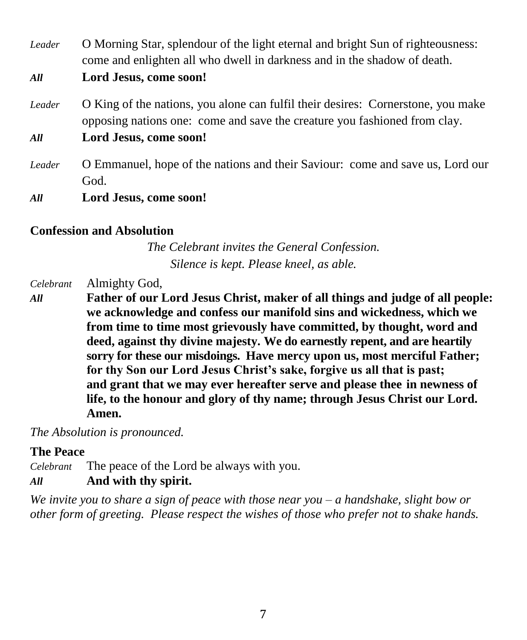*Leader* O Morning Star, splendour of the light eternal and bright Sun of righteousness: come and enlighten all who dwell in darkness and in the shadow of death.

- *All* **Lord Jesus, come soon!**
- *Leader* O King of the nations, you alone can fulfil their desires: Cornerstone, you make opposing nations one: come and save the creature you fashioned from clay.

*All* **Lord Jesus, come soon!**

*Leader* O Emmanuel, hope of the nations and their Saviour: come and save us, Lord our God.

*All* **Lord Jesus, come soon!**

#### **Confession and Absolution**

*The Celebrant invites the General Confession. Silence is kept. Please kneel, as able.*

*Celebrant* Almighty God,

*All* **Father of our Lord Jesus Christ, maker of all things and judge of all people: we acknowledge and confess our manifold sins and wickedness, which we from time to time most grievously have committed, by thought, word and deed, against thy divine majesty. We do earnestly repent, and are heartily sorry for these our misdoings. Have mercy upon us, most merciful Father; for thy Son our Lord Jesus Christ's sake, forgive us all that is past; and grant that we may ever hereafter serve and please thee in newness of life, to the honour and glory of thy name; through Jesus Christ our Lord. Amen.**

*The Absolution is pronounced.*

#### **The Peace**

*Celebrant* The peace of the Lord be always with you.

### *All* **And with thy spirit.**

*We invite you to share a sign of peace with those near you – a handshake, slight bow or other form of greeting. Please respect the wishes of those who prefer not to shake hands.*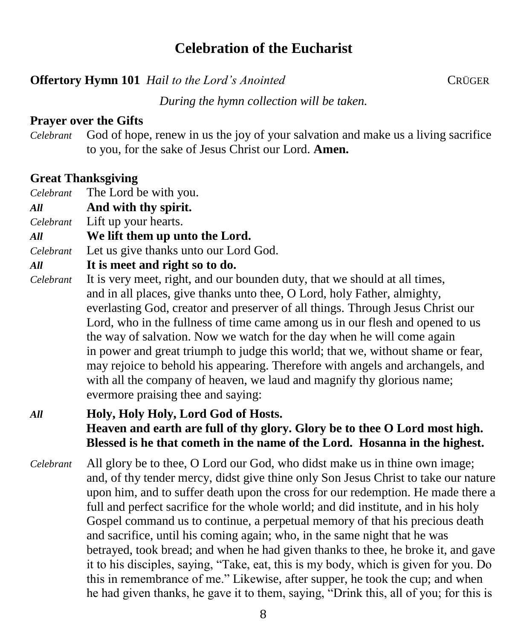# **Celebration of the Eucharist**

# **Offertory Hymn 101** *Hail to the Lord's Anointed* CRÜGER

*During the hymn collection will be taken.*

# **Prayer over the Gifts**

*Celebrant* God of hope, renew in us the joy of your salvation and make us a living sacrifice to you, for the sake of Jesus Christ our Lord. **Amen.**

# **Great Thanksgiving**

- *Celebrant* The Lord be with you.
- *All* **And with thy spirit.**
- *Celebrant* Lift up your hearts.
- *All* **We lift them up unto the Lord.**
- *Celebrant* Let us give thanks unto our Lord God.

# *All* **It is meet and right so to do.**

*Celebrant* It is very meet, right, and our bounden duty, that we should at all times, and in all places, give thanks unto thee, O Lord, holy Father, almighty, everlasting God, creator and preserver of all things. Through Jesus Christ our Lord, who in the fullness of time came among us in our flesh and opened to us the way of salvation. Now we watch for the day when he will come again in power and great triumph to judge this world; that we, without shame or fear, may rejoice to behold his appearing. Therefore with angels and archangels, and with all the company of heaven, we laud and magnify thy glorious name; evermore praising thee and saying:

# *All* **Holy, Holy Holy, Lord God of Hosts. Heaven and earth are full of thy glory. Glory be to thee O Lord most high. Blessed is he that cometh in the name of the Lord. Hosanna in the highest.**

*Celebrant* All glory be to thee, O Lord our God, who didst make us in thine own image; and, of thy tender mercy, didst give thine only Son Jesus Christ to take our nature upon him, and to suffer death upon the cross for our redemption. He made there a full and perfect sacrifice for the whole world; and did institute, and in his holy Gospel command us to continue, a perpetual memory of that his precious death and sacrifice, until his coming again; who, in the same night that he was betrayed, took bread; and when he had given thanks to thee, he broke it, and gave it to his disciples, saying, "Take, eat, this is my body, which is given for you. Do this in remembrance of me." Likewise, after supper, he took the cup; and when he had given thanks, he gave it to them, saying, "Drink this, all of you; for this is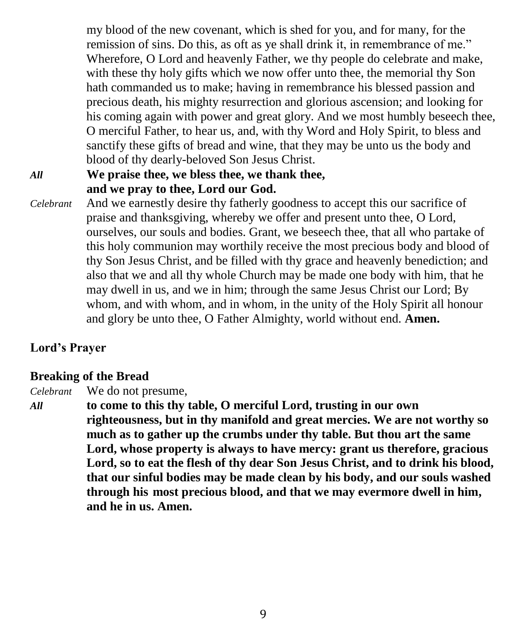my blood of the new covenant, which is shed for you, and for many, for the remission of sins. Do this, as oft as ye shall drink it, in remembrance of me." Wherefore, O Lord and heavenly Father, we thy people do celebrate and make, with these thy holy gifts which we now offer unto thee, the memorial thy Son hath commanded us to make; having in remembrance his blessed passion and precious death, his mighty resurrection and glorious ascension; and looking for his coming again with power and great glory. And we most humbly beseech thee, O merciful Father, to hear us, and, with thy Word and Holy Spirit, to bless and sanctify these gifts of bread and wine, that they may be unto us the body and blood of thy dearly-beloved Son Jesus Christ.

# *All* **We praise thee, we bless thee, we thank thee, and we pray to thee, Lord our God.**

*Celebrant* And we earnestly desire thy fatherly goodness to accept this our sacrifice of praise and thanksgiving, whereby we offer and present unto thee, O Lord, ourselves, our souls and bodies. Grant, we beseech thee, that all who partake of this holy communion may worthily receive the most precious body and blood of thy Son Jesus Christ, and be filled with thy grace and heavenly benediction; and also that we and all thy whole Church may be made one body with him, that he may dwell in us, and we in him; through the same Jesus Christ our Lord; By whom, and with whom, and in whom, in the unity of the Holy Spirit all honour and glory be unto thee, O Father Almighty, world without end. **Amen.**

# **Lord's Prayer**

# **Breaking of the Bread**

*Celebrant* We do not presume,

*All* **to come to this thy table, O merciful Lord, trusting in our own righteousness, but in thy manifold and great mercies. We are not worthy so much as to gather up the crumbs under thy table. But thou art the same Lord, whose property is always to have mercy: grant us therefore, gracious Lord, so to eat the flesh of thy dear Son Jesus Christ, and to drink his blood, that our sinful bodies may be made clean by his body, and our souls washed through his most precious blood, and that we may evermore dwell in him, and he in us. Amen.**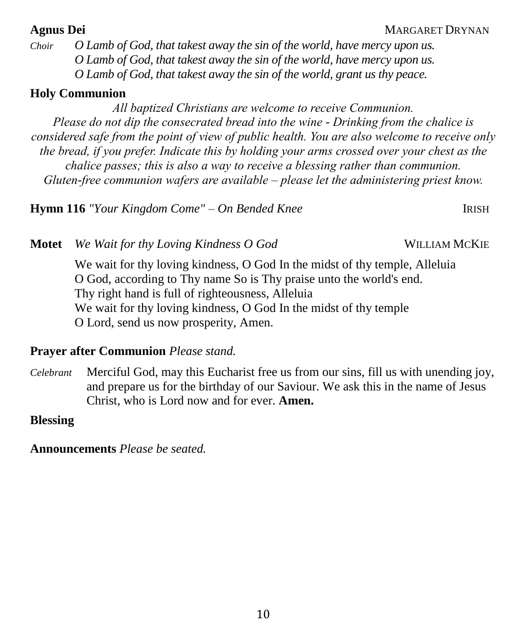*Choir O Lamb of God, that takest away the sin of the world, have mercy upon us. O Lamb of God, that takest away the sin of the world, have mercy upon us. O Lamb of God, that takest away the sin of the world, grant us thy peace.*

# **Holy Communion**

*All baptized Christians are welcome to receive Communion. Please do not dip the consecrated bread into the wine - Drinking from the chalice is considered safe from the point of view of public health. You are also welcome to receive only the bread, if you prefer. Indicate this by holding your arms crossed over your chest as the chalice passes; this is also a way to receive a blessing rather than communion. Gluten-free communion wafers are available – please let the administering priest know.*

**Hymn 116** *"Your Kingdom Come" – On Bended Knee* IRISH

**Motet** *We Wait for thy Loving Kindness O God* WILLIAM MCKIE

We wait for thy loving kindness, O God In the midst of thy temple, Alleluia O God, according to Thy name So is Thy praise unto the world's end. Thy right hand is full of righteousness, Alleluia We wait for thy loving kindness, O God In the midst of thy temple O Lord, send us now prosperity, Amen.

## **Prayer after Communion** *Please stand.*

*Celebrant* Merciful God, may this Eucharist free us from our sins, fill us with unending joy, and prepare us for the birthday of our Saviour. We ask this in the name of Jesus Christ, who is Lord now and for ever. **Amen.**

# **Blessing**

**Announcements** *Please be seated.*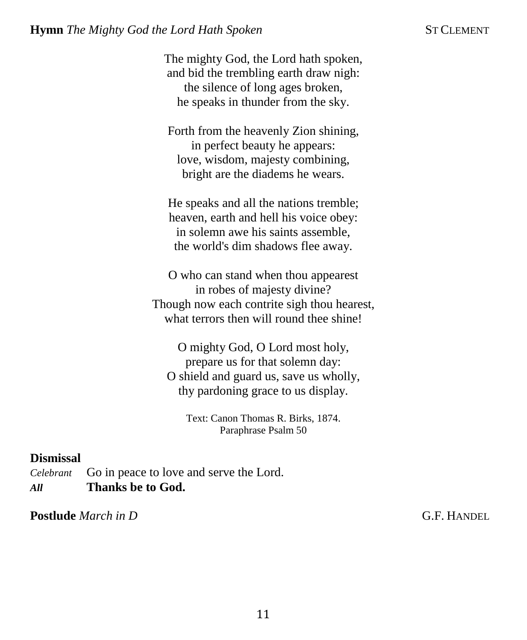The mighty God, the Lord hath spoken, and bid the trembling earth draw nigh: the silence of long ages broken, he speaks in thunder from the sky.

Forth from the heavenly Zion shining, in perfect beauty he appears: love, wisdom, majesty combining, bright are the diadems he wears.

He speaks and all the nations tremble; heaven, earth and hell his voice obey: in solemn awe his saints assemble, the world's dim shadows flee away.

O who can stand when thou appearest in robes of majesty divine? Though now each contrite sigh thou hearest, what terrors then will round thee shine!

O mighty God, O Lord most holy, prepare us for that solemn day: O shield and guard us, save us wholly, thy pardoning grace to us display.

Text: Canon Thomas R. Birks, 1874. Paraphrase Psalm 50

#### **Dismissal**

*Celebrant* Go in peace to love and serve the Lord. *All* **Thanks be to God.** 

**Postlude** *March in D* **C.F. HANDEL**